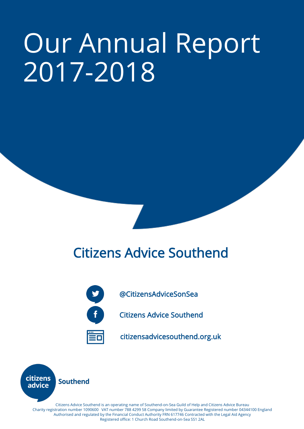# Our Annual Report 2017-2018

# Citizens Advice Southend



@CitizensAdviceSonSea

Citizens Advice Southend

citizensadvicesouthend.org.uk



Citizens Advice Southend is an operating name of Southend-on-Sea Guild of Help and Citizens Advice Bureau Charity registration number 1090600 VAT number 788 4299 58 Company limited by Guarantee Registered number 04344100 England Authorised and regulated by the Financial Conduct Authority FRN 617746 Contracted with the Legal Aid Agency Registered office: 1 Church Road Southend-on-Sea SS1 2AL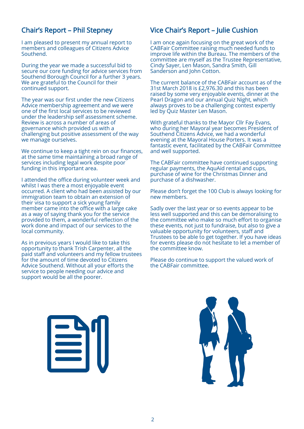# Chair's Report – Phil Stepney

I am pleased to present my annual report to members and colleagues of Citizens Advice Southend.

During the year we made a successful bid to secure our core funding for advice services from Southend Borough Council for a further 3 years. We are grateful to the Council for their continued support.

The year was our first under the new Citizens Advice membership agreement and we were one of the first local services to be reviewed under the leadership self assessment scheme. Review is across a number of areas of governance which provided us with a challenging but positive assessment of the way we manage ourselves.

We continue to keep a tight rein on our finances, at the same time maintaining a broad range of services including legal work despite poor funding in this important area.

I attended the office during volunteer week and whilst I was there a most enjoyable event occurred. A client who had been assisted by our immigration team to obtain an extension of their visa to support a sick young family member came into the office with a large cake as a way of saying thank you for the service provided to them, a wonderful reflection of the work done and impact of our services to the local community.

As in previous years I would like to take this opportunity to thank Trish Carpenter, all the paid staff and volunteers and my fellow trustees for the amount of time devoted to Citizens Advice Southend. Without all your efforts the service to people needing our advice and support would be all the poorer.

# Vice Chair's Report – Julie Cushion

I am once again focusing on the great work of the CABFair Committee raising much needed funds to improve life within the Bureau. The members of the committee are myself as the Trustee Representative, Cindy Sayer, Len Mason, Sandra Smith, Gill Sanderson and John Cotton.

The current balance of the CABFair account as of the 31st March 2018 is £2,976.30 and this has been raised by some very enjoyable events, dinner at the Pearl Dragon and our annual Quiz Night, which always proves to be a challenging contest expertly led by Quiz Master Len Mason.

With grateful thanks to the Mayor Cllr Fay Evans, who during her Mayoral year becomes President of Southend Citizens Advice, we had a wonderful evening at the Mayoral House Porters. It was a fantastic event, facilitated by the CABFair Committee and well supported.

The CABFair committee have continued supporting regular payments, the AquAid rental and cups, purchase of wine for the Christmas Dinner and purchase of a dishwasher.

Please don't forget the 100 Club is always looking for new members.

Sadly over the last year or so events appear to be less well supported and this can be demoralising to the committee who make so much effort to organise these events, not just to fundraise, but also to give a valuable opportunity for volunteers, staff and Trustees to be able to get together. If you have ideas for events please do not hesitate to let a member of the committee know.

Please do continue to support the valued work of the CABFair committee.



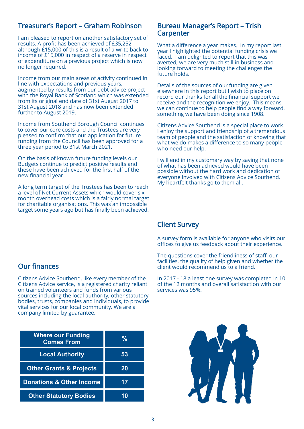# Treasurer's Report – Graham Robinson

I am pleased to report on another satisfactory set of results. A profit has been achieved of £35,252 although £15,000 of this is a result of a write back to income of £15,000 in respect of a reserve in respect of expenditure on a previous project which is now no longer required.

Income from our main areas of activity continued in line with expectations and previous years, augmented by results from our debt advice project with the Royal Bank of Scotland which was extended from its original end date of 31st August 2017 to 31st August 2018 and has now been extended further to August 2019.

Income from Southend Borough Council continues to cover our core costs and the Trustees are very pleased to confirm that our application for future funding from the Council has been approved for a three year period to 31st March 2021.

On the basis of known future funding levels our Budgets continue to predict positive results and these have been achieved for the first half of the new financial year.

A long term target of the Trustees has been to reach a level of Net Current Assets which would cover six month overhead costs which is a fairly normal target for charitable organisations. This was an impossible target some years ago but has finally been achieved.

#### Bureau Manager's Report – Trish Carpenter

What a difference a year makes. In my report last year I highlighted the potential funding crisis we faced. I am delighted to report that this was averted; we are very much still in business and looking forward to meeting the challenges the future holds.

Details of the sources of our funding are given elsewhere in this report but I wish to place on record our thanks for all the financial support we receive and the recognition we enjoy. This means we can continue to help people find a way forward, something we have been doing since 1908.

Citizens Advice Southend is a special place to work. I enjoy the support and friendship of a tremendous team of people and the satisfaction of knowing that what we do makes a difference to so many people who need our help.

I will end in my customary way by saying that none of what has been achieved would have been possible without the hard work and dedication of everyone involved with Citizens Advice Southend. My heartfelt thanks go to them all.

# Client Survey

A survey form is available for anyone who visits our offices to give us feedback about their experience.

The questions cover the friendliness of staff, our facilities, the quality of help given and whether the client would recommend us to a friend.

In 2017 - 18 a least one survey was completed in 10 of the 12 months and overall satisfaction with our services was 95%.

# Our finances

Citizens Advice Southend, like every member of the Citizens Advice service, is a registered charity reliant on trained volunteers and funds from various sources including the local authority, other statutory bodies, trusts, companies and individuals, to provide vital services for our local community. We are a company limited by guarantee.

| <b>Where our Funding</b><br><b>Comes From</b> | $\frac{9}{6}$ |
|-----------------------------------------------|---------------|
| <b>Local Authority</b>                        | 53            |
| <b>Other Grants &amp; Projects</b>            | 20            |
| <b>Donations &amp; Other Income</b>           | 17            |
| <b>Other Statutory Bodies</b>                 |               |

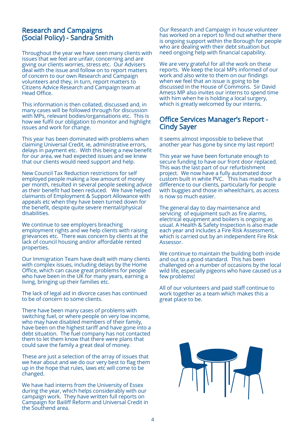## Research and Campaigns (Social Policy) - Sandra Smith

Throughout the year we have seen many clients with issues that we feel are unfair, concerning and are giving our clients worries, stress etc. Our Advisers deal with the issue and follow on to report matters of concern to our own Research and Campaign volunteers and they, in turn, report matters to Citizens Advice Research and Campaign team at Head Office.

This information is then collated, discussed and, in many cases will be followed through for discussion with MPs, relevant bodies/organisations etc. This is how we fulfil our obligation to monitor and highlight issues and work for change.

This year has been dominated with problems when claiming Universal Credit, ie, administrative errors, delays in payment etc. With this being a new benefit for our area, we had expected issues and we knew that our clients would need support and help.

New Council Tax Reduction restrictions for self employed people making a low amount of money per month, resulted in several people seeking advice as their benefit had been reduced. We have helped claimants of Employment & Support Allowance with appeals etc when they have been turned down for the benefit, despite quite severe mental/physical disabilities.

We continue to see employers breaching employment rights and we help clients with raising grievances etc. There was concern by clients at the lack of council housing and/or affordable rented properties.

Our Immigration Team have dealt with many clients with complex issues, including delays by the Home Office, which can cause great problems for people who have been in the UK for many years, earning a living, bringing up their families etc.

The lack of legal aid in divorce cases has continued to be of concern to some clients.

There have been many cases of problems with switching fuel, or where people on very low income, who may have disabled members of their family, have been on the highest tariff and have gone into a debt situation. The fuel company has not contacted them to let them know that there were plans that could save the family a great deal of money.

These are just a selection of the array of issues that we hear about and we do our very best to flag them up in the hope that rules, laws etc will come to be changed.

We have had interns from the University of Essex during the year, which helps considerably with our campaign work. They have written full reports on Campaign for Bailiff Reform and Universal Credit in the Southend area.

Our Research and Campaign in house volunteer has worked on a report to find out whether there is ongoing support within the Borough for people who are dealing with their debt situation but need ongoing help with financial capability.

We are very grateful for all the work on these reports. We keep the local MPs informed of our work and also write to them on our findings when we feel that an issue is going to be discussed in the House of Commons. Sir David Amess MP also invites our interns to spend time with him when he is holding a local surgery, which is greatly welcomed by our interns.

## Office Services Manager's Report - Cindy Sayer

It seems almost impossible to believe that another year has gone by since my last report!

This year we have been fortunate enough to secure funding to have our front door replaced. This was the last part of our refurbishment project. We now have a fully automated door custom built in white PVC. This has made such a difference to our clients, particularly for people with buggies and those in wheelchairs, as access is now so much easier.

The general day to day maintenance and servicing of equipment such as fire alarms, electrical equipment and boilers is ongoing as usual. A Health & Safety Inspection is also made each year and includes a Fire Risk Assessment, which is carried out by an independent Fire Risk Assessor.

We continue to maintain the building both inside and out to a good standard. This has been challenged on a number of occasions by the local wild life, especially pigeons who have caused us a few problems!

All of our volunteers and paid staff continue to work together as a team which makes this a great place to be. 

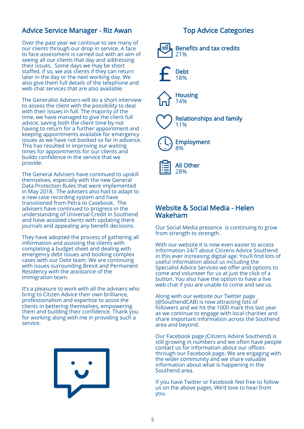# Advice Service Manager - Riz Awan

Over the past year we continue to see many of our clients through our drop in service. A face to face assessment is carried out with an aim of seeing all our clients that day and addressing their issues. Some days we may be short staffed, if so, we ask clients if they can return later in the day or the next working day. We also give them full details of the telephone and web chat services that are also available.

The Generalist Advisers will do a short interview to assess the client with the possibility to deal with their issues in full. The majority of the time, we have managed to give the client full advice, saving both the client time by not having to return for a further appointment and keeping appointments available for emergency issues as we have not booked so far in advance. This has resulted in improving our waiting times for appointments for our clients and builds confidence in the service that we provide.

The General Advisers have continued to upskill themselves, especially with the new General Data Protection Rules that were implemented in May 2018. The advisers also had to adapt to a new case recording system and have transitioned from Petra to Casebook. The advisers have continued to progress in the understanding of Universal Credit in Southend and have assisted clients with updating there journals and appealing any benefit decisions.

They have adopted the process of gathering all information and assisting the clients with completing a budget sheet and dealing with emergency debt issues and booking complex cases with our Debt team. We are continuing with issues surrounding Brexit and Permanent Residency with the assistance of the Immigration team.

It's a pleasure to work with all the advisers who bring to Citizen Advice their own brilliance, professionalism and expertise to assist the clients in bettering themselves, empowering them and building their confidence. Thank you for working along with me in providing such a service.



# Top Advice Categories



# Website & Social Media - Helen Wakeham

Our Social Media presence is continuing to grow from strength to strength.

With our website it is now even easier to access information 24/7 about Citizens Advice Southend in this ever increasing digital age. You'll find lots of useful information about us including the Specialist Advice Services we offer and options to come and volunteer for us at just the click of a button. You also have the option to have a live web chat if you are unable to come and see us.

Along with our website our Twitter page (@SouthendCAB) is now attracting lots of followers and we hit the 1000 mark this last year as we continue to engage with local charities and share important information across the Southend area and beyond.

Our Facebook page (Citizens Advice Southend) is still growing in numbers and we often have people contact us for information about our offices through our Facebook page. We are engaging with the wider community and we share valuable information about what is happening in the Southend area.

If you have Twitter or Facebook feel free to follow us on the above pages. We'd love to hear from you.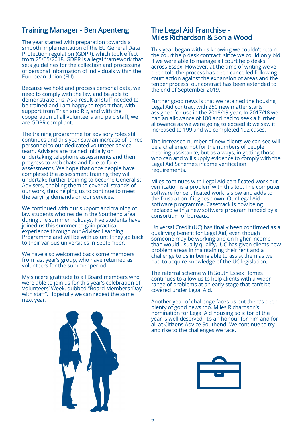# Training Manager - Ben Apenteng

The year started with preparation towards a smooth implementation of the EU General Data Protection regulation (GDPR), which took effect from 25/05/2018. GDPR is a legal framework that sets guidelines for the collection and processing of personal information of individuals within the European Union (EU).

Because we hold and process personal data, we need to comply with the law and be able to demonstrate this. As a result all staff needed to be trained and I am happy to report that, with support from Trish and Riz, and with the cooperation of all volunteers and paid staff, we are GDPR compliant.

The training programme for advisory roles still continues and this year saw an increase of three personnel to our dedicated volunteer advice team. Advisers are trained initially on undertaking telephone assessments and then progress to web chats and face to face assessments. We hope that once people have completed the assessment training they will undertake further training to become Generalist Advisers, enabling them to cover all strands of our work, thus helping us to continue to meet the varying demands on our services.

We continued with our support and training of law students who reside in the Southend area during the summer holidays. Five students have joined us this summer to gain practical experience through our Adviser Learning Programme and will be with us until they go back to their various universities in September.

We have also welcomed back some members from last year's group, who have returned as volunteers for the summer period.

My sincere gratitude to all Board members who were able to join us for this year's celebration of Volunteers' Week, dubbed "Board Members 'Day' with staff". Hopefully we can repeat the same next year.

# The Legal Aid Franchise - Miles Richardson & Sonia Wood

This year began with us knowing we couldn't retain the court help desk contract, since we could only bid if we were able to manage all court help desks across Essex. However, at the time of writing we've been told the process has been cancelled following court action against the expansion of areas and the tender process: our contract has been extended to the end of September 2019.

Further good news is that we retained the housing Legal Aid contract with 250 new matter starts assigned for use in the 2018/19 year. In 2017/18 we had an allowance of 180 and had to seek a further allowance as we were going to exceed it: we saw it increased to 199 and we completed 192 cases.

The increased number of new clients we can see will be a challenge, not for the numbers of people needing assistance, but as always, in getting those who can and will supply evidence to comply with the Legal Aid Scheme's income verification requirements.

Miles continues with Legal Aid certificated work but verification is a problem with this too. The computer software for certificated work is slow and adds to the frustration if it goes down. Our Legal Aid software programme, Casetrack is now being replaced with a new software program funded by a consortium of bureaux.

Universal Credit (UC) has finally been confirmed as a qualifying benefit for Legal Aid, even though someone may be working and on higher income than would usually qualify. UC has given clients new problem areas in maintaining their rent and a challenge to us in being able to assist them as we had to acquire knowledge of the UC legislation.

The referral scheme with South Essex Homes continues to allow us to help clients with a wider range of problems at an early stage that can't be covered under Legal Aid.

Another year of challenge faces us but there's been plenty of good news too. Miles Richardson's nomination for Legal Aid housing solicitor of the year is well deserved; it's an honour for him and for all at Citizens Advice Southend. We continue to try and rise to the challenges we face.



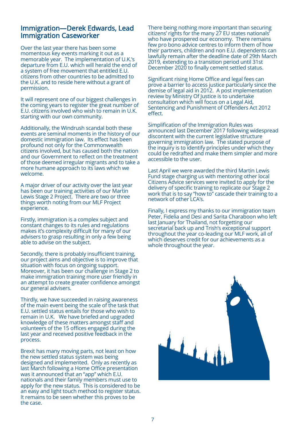# Immigration—Derek Edwards, Lead Immigration Caseworker

Over the last year there has been some momentous key events marking it out as a memorable year. The implementation of U.K.'s departure from E.U. which will herald the end of a system of free movement that entitled E.U. citizens from other countries to be admitted to the U.K. and to reside here without a grant of permission.

It will represent one of our biggest challenges in the coming years to register the great number of E.U. citizens involved who wish to remain in U.K. starting with our own community.

Additionally, the Windrush scandal both these events are seminal moments in the history of our domestic immigration law. Its effect has been profound not only for the Commonwealth citizens involved, but has caused both the nation and our Government to reflect on the treatment of those deemed irregular migrants and to take a more humane approach to its laws which we welcome.

A major driver of our activity over the last year has been our training activities of our Martin Lewis Stage 2 Project. There are two or three things worth noting from our MLF Project experience.

Firstly, immigration is a complex subject and constant changes to its rules and regulations makes it's complexity difficult for many of our advisers to grasp resulting in only a few being able to advise on the subject.

Secondly, there is probably insufficient training, our project aims and objective is to improve that situation with focus on ongoing support. Moreover, it has been our challenge in Stage 2 to make immigration training more user friendly in an attempt to create greater confidence amongst our general advisers.

Thirdly, we have succeeded in raising awareness of the main event being the scale of the task that E.U. settled status entails for those who wish to remain in U.K. We have briefed and upgraded knowledge of these matters amongst staff and volunteers of the 15 offices engaged during the last year and received positive feedback in the process.

Brexit has many moving parts, not least on how the new settled status system was being designed and implemented. Only as recently as last March following a Home Office presentation was it announced that an "app" which E.U. nationals and their family members must use to apply for the new status. This is considered to be an easy and light touch method to register status. It remains to be seen whether this proves to be the case.

There being nothing more important than securing citizens' rights for the many 27 EU states nationals' who have prospered our economy. There remains few pro bono advice centres to inform them of how their partners, children and non E.U. dependents can lawfully remain after the deadline date of 29th March 2019, extending to a transition period until 31st December 2020 to finally cement settled status.

Significant rising Home Office and legal fees can prove a barrier to access justice particularly since the demise of legal aid in 2012. A post implementation review by Ministry Of Justice is to undertake consultation which will focus on a Legal Aid, Sentencing and Punishment of Offenders Act 2012 effect.

Simplification of the Immigration Rules was announced last December 2017 following widespread discontent with the current legislative structure governing immigration law. The stated purpose of the inquiry is to identify principles under which they could be redrafted and make them simpler and more accessible to the user.

Last April we were awarded the third Martin Lewis Fund stage charging us with mentoring other local Citizens Advice services were invited to apply for the delivery of specific training to replicate our Stage 2 work that is to say "how to" cascade their training to a network of other LCA's.

Finally, I express my thanks to our immigration team Peter, Fidelia and Desi and Sarita Charaboon who left last January for Thailand, not forgetting our secretarial back up and Trish's exceptional support throughout the year co-leading our MLF work, all of which deserves credit for our achievements as a whole throughout the year.

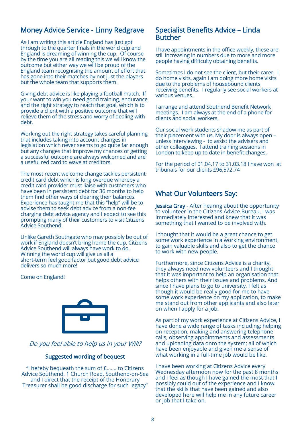# Money Advice Service - Linny Redgrave

As I am writing this article England has just got through to the quarter finals in the world cup and England is dreaming of winning the cup. Of course by the time you are all reading this we will know the outcome but either way we will be proud of the England team recognising the amount of effort that has gone into their matches by not just the players but the whole team that supports them.

Giving debt advice is like playing a football match. If your want to win you need good training, endurance and the right strategy to reach that goal, which is to provide a client with a positive outcome that will relieve them of the stress and worry of dealing with debt.

Working out the right strategy takes careful planning that includes taking into account changes in legislation which never seems to go quite far enough but any changes that improve my chances of getting a successful outcome are always welcomed and are a useful red card to wave at creditors.

The most recent welcome change tackles persistent credit card debt which is long overdue whereby a credit card provider must liaise with customers who have been in persistent debt for 36 months to help them find other ways of clearing their balances. Experience has taught me that this "help" will be to advise them to seek debt advice from a non-fee charging debt advice agency and I expect to see this prompting many of their customers to visit Citizens Advice Southend.

Unlike Gareth Southgate who may possibly be out of work if England doesn't bring home the cup, Citizens Advice Southend will always have work to do. Winning the world cup will give us all a short-term feel good factor but good debt advice delivers so much more!

Come on England!



#### Do you feel able to help us in your Will?

#### Suggested wording of bequest

"I hereby bequeath the sum of £……. to Citizens Advice Southend, 1 Church Road, Southend-on-Sea and I direct that the receipt of the Honorary Treasurer shall be good discharge for such legacy"

#### Specialist Benefits Advice – Linda Butcher

I have appointments in the office weekly, these are still increasing in numbers due to more and more people having difficulty obtaining benefits.

Sometimes I do not see the client, but their carer. I do home visits, again I am doing more home visits due to the problems of housebound clients receiving benefits. I regularly see social workers at various venues.

I arrange and attend Southend Benefit Network meetings. I am always at the end of a phone for clients and social workers.

Our social work students shadow me as part of their placement with us. My door is always open – unless interviewing - to assist the advisers and other colleagues. I attend training sessions in London to keep up to date in benefit changes.

For the period of 01.04.17 to 31.03.18 I have won at tribunals for our clients £96,572.74

# What Our Volunteers Say:

Jessica Gray - After hearing about the opportunity to volunteer in the Citizens Advice Bureau, I was immediately interested and knew that it was something that I wanted to be involved with.

I thought that it would be a great chance to get some work experience in a working environment, to gain valuable skills and also to get the chance to work with new people.

Furthermore, since Citizens Advice is a charity, they always need new volunteers and I thought that it was important to help an organisation that helps others with their issues and problems. And since I have plans to go to university, I felt as though it would be really good for me to have some work experience on my application, to make me stand out from other applicants and also later on when I apply for a job.

As part of my work experience at Citizens Advice, I have done a wide range of tasks including: helping on reception, making and answering telephone calls, observing appointments and assessments and uploading data onto the system; all of which have been enjoyable and given me a sense of what working in a full-time job would be like.

I have been working at Citizens Advice every Wednesday afternoon now for the past 8 months and I feel as though I have gained the most that I possibly could out of the experience and I know that the skills that have been gained and also developed here will help me in any future career or job that I take on.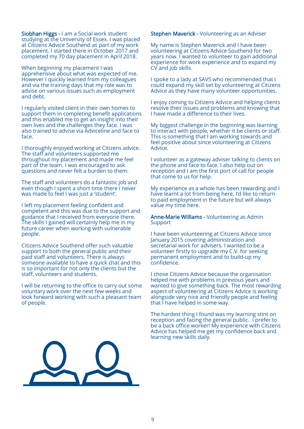Siobhan Higgs - I am a Social work student studying at the University of Essex. I was placed at Citizens Advice Southend as part of my work placement. I started there in October 2017 and completed my 70 day placement in April 2018.

When beginning my placement I was apprehensive about what was expected of me. However I quickly learned from my colleagues and via the training days that my role was to advise on various issues such as employment and debt.

I regularly visited client in their own homes to support them in completing benefit applications and this enabled me to get an insight into their own lives and the challenges they face. I was also trained to advise via Adviceline and face to face.

I thoroughly enjoyed working at Citizens advice. The staff and volunteers supported me throughout my placement and made me feel part of the team. I was encouraged to ask questions and never felt a burden to them.

The staff and volunteers do a fantastic job and even though I spent a short time there I never was made to feel I was just a 'student'.

I left my placement feeling confident and competent and this was due to the support and guidance that I received from everyone there. The skills I gained will certainly help me in my future career when working with vulnerable people.

Citizens Advice Southend offer such valuable support to both the general public and their paid staff and volunteers. There is always someone available to have a quick chat and this is so important for not only the clients but the staff, volunteers and students.

I will be returning to the office to carry out some voluntary work over the next few weeks and look forward working with such a pleasant team of people.

**Stephen Maverick - Volunteering as an Adviser** 

My name is Stephen Maverick and I have been volunteering at Citizens Advice Southend for two years now. I wanted to volunteer to gain additional experience for work experience and to expand my CV and job skills.

I spoke to a lady at SAVS who recommended that I could expand my skill set by volunteering at Citizens Advice as they have many volunteer opportunities.

I enjoy coming to Citizens Advice and helping clients resolve their issues and problems and knowing that I have made a difference to their lives.

My biggest challenge in the beginning was learning to interact with people, whether it be clients or staff. This is something that I am working towards and feel positive about since volunteering at Citizens Advice.

I volunteer as a gateway adviser talking to clients on the phone and face to face. I also help out on reception and I am the first port of call for people that come to us for help.

My experience as a whole has been rewarding and I have learnt a lot from being here. I'd like to return to paid employment in the future but will always value my time here.

Anne-Marie Williams - Volunteering as Admin Support

I have been volunteering at Citizens Advice since January 2015 covering administration and secretarial work for advisers. I wanted to be a volunteer firstly to upgrade my C.V. for seeking permanent employment and to build-up my confidence.

I chose Citizens Advice because the organisation helped me with problems in previous years and wanted to give something back. The most rewarding aspect of volunteering at Citizens Advice is working alongside very nice and friendly people and feeling that I have helped in some way.

The hardest thing I found was my learning stint on reception and facing the general public. I prefer to be a back office worker! My experience with Citizens Advice has helped me get my confidence back and learning new skills daily.

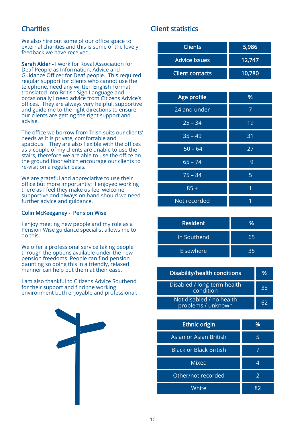# **Charities**

We also hire out some of our office space to external charities and this is some of the lovely feedback we have received.

Sarah Alder - I work for Royal Association for Deaf People as Information, Advice and Guidance Officer for Deaf people. This required regular support for clients who cannot use the telephone, need any written English Format translated into British Sign Language and occasionally I need advice from Citizens Advice's offices. They are always very helpful, supportive and guide me to the right directions to ensure our clients are getting the right support and advise.

The office we borrow from Trish suits our clients' needs as it is private, comfortable and spacious. They are also flexible with the offices as a couple of my clients are unable to use the stairs, therefore we are able to use the office on the ground floor which encourage our clients to re-visit on a regular basis.

We are grateful and appreciative to use their office but more importantly; I enjoyed working there as I feel they make us feel welcome, supportive and always on hand should we need further advice and guidance.

#### Colin McKeeganey - Pension Wise

I enjoy meeting new people and my role as a Pension Wise guidance specialist allows me to do this.

We offer a professional service taking people through the options available under the new pension freedoms. People can find pension daunting so doing this in a friendly, relaxed manner can help put them at their ease.

I am also thankful to Citizens Advice Southend for their support and find the working environment both enjoyable and professional.



# Client statistics

| <b>Clients</b>         | 5,986  |
|------------------------|--------|
| <b>Advice Issues</b>   | 12,747 |
| <b>Client contacts</b> | 10,780 |

| Age profile  | %  |
|--------------|----|
| 24 and under | 7  |
| $25 - 34$    | 19 |
| $35 - 49$    | 31 |
| $50 - 64$    | 27 |
| $65 - 74$    | 9  |
| $75 - 84$    | 5  |
| $85 +$       | 1  |
| Not recorded | 1  |

| <b>Resident</b> | ᅅ  |
|-----------------|----|
| In Southend     | 65 |
| Elsewhere       | 35 |

| Disability/health conditions                   | %  |
|------------------------------------------------|----|
| Disabled / long-term health<br>condition       | 38 |
| Not disabled / no health<br>problems / unknown | 62 |

| <b>Ethnic origin</b>          | %  |
|-------------------------------|----|
| Asian or Asian British        | 5  |
| <b>Black or Black British</b> |    |
| <b>Mixed</b>                  | 4  |
| Other/not recorded            | 2  |
| White                         | ጸን |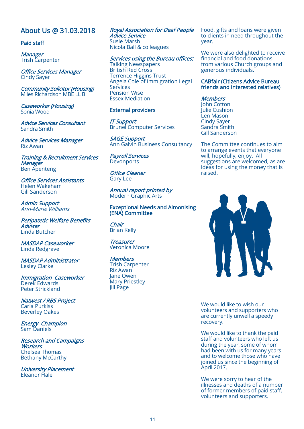# About Us @ 31.03.2018

#### Paid staff

**Manager** Trish Carpenter

Office Services Manager Cindy Sayer

Community Solicitor (Housing) Miles Richardson MBE LL B

Caseworker (Housing) Sonia Wood

Advice Services Consultant Sandra Smith

Advice Services Manager Riz Awan

Training & Recruitment Services **Manager** Ben Apenteng

Office Services Assistants Helen Wakeham Gill Sanderson

Admin Support Ann-Marie Williams

Peripatetic Welfare Benefits **Adviser** Linda Butcher

MASDAP Caseworker Linda Redgrave

MASDAP Administrator Lesley Clarke

Immigration Caseworker Derek Edwards Peter Strickland

Natwest / RBS Project Carla Purkiss Beverley Oakes

Energy Champion Sam Daniels

Research and Campaigns **Workers** Chelsea Thomas Bethany McCarthy

University Placement Eleanor Hale

Royal Association for Deaf People Advice Service Susie Marsh Nicola Ball & colleagues

Services using the Bureau offices: Talking Newspapers British Red Cross Terrence Higgins Trust Angela Cole of Immigration Legal Services Pension Wise Essex Mediation

#### External providers

IT Support Brunel Computer Services

SAGE Support Ann Galvin Business Consultancy

Payroll Services **Devonports** 

Office Cleaner Gary Lee

Annual report printed by Modern Graphic Arts

#### Exceptional Needs and Almonising (ENA) Committee

Chair Brian Kelly

**Treasurer** Veronica Moore

**Members** Trish Carpenter Riz Awan Jane Owen Mary Priestley Jill Page

Food, gifts and loans were given to clients in need throughout the year.

We were also delighted to receive financial and food donations from various Church groups and generous individuals.

#### CABfair (Citizens Advice Bureau friends and interested relatives)

#### **Members**

John Cotton Julie Cushion Len Mason Cindy Sayer Sandra Smith Gill Sanderson

The Committee continues to aim to arrange events that everyone will, hopefully, enjoy. All suggestions are welcomed, as are ideas for using the money that is raised.



We would like to wish our volunteers and supporters who are currently unwell a speedy recovery.

We would like to thank the paid staff and volunteers who left us during the year, some of whom had been with us for many years and to welcome those who have joined us since the beginning of April 2017.

We were sorry to hear of the illnesses and deaths of a number of former members of paid staff, volunteers and supporters.